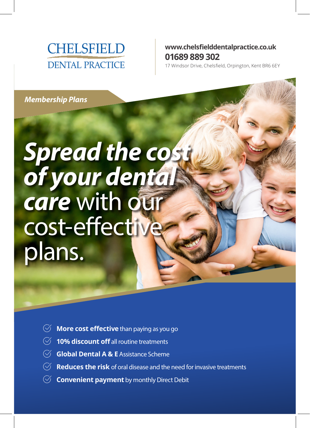

### **www.chelsfielddentalpractice.co.uk 01689 889 302**

17 Windsor Drive, Chelsfield, Orpington, Kent BR6 6EY

*Membership Plans*

# *Spread the cost of your dental*  **care** with our cost-effective plans.

- **More cost effective** than paying as you go
- $\heartsuit$  **10% discount off** all routine treatments
- **Global Dental A & E** Assistance Scheme
- **Reduces the risk** of oral disease and the need for invasive treatments
- $\heartsuit$  **Convenient payment** by monthly Direct Debit